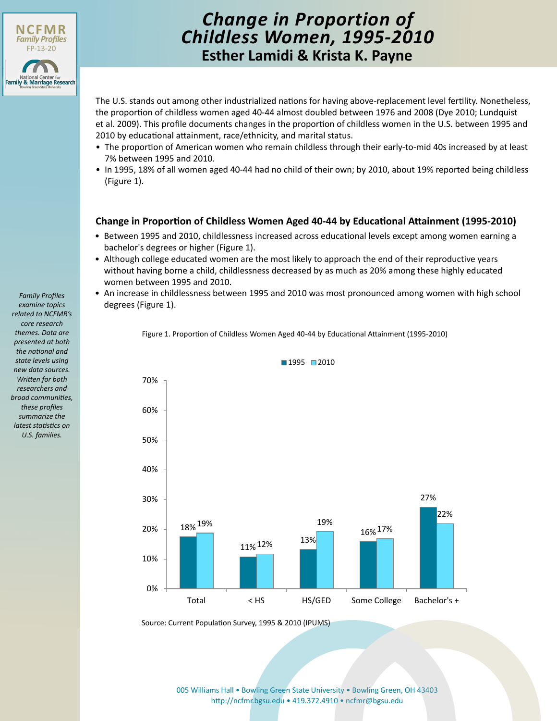

# **Esther Lamidi & Krista K. Payne** *Change in Proportion of Childless Women, 1995-2010*

The U.S. stands out among other industrialized nations for having above-replacement level fertility. Nonetheless, the proportion of childless women aged 40-44 almost doubled between 1976 and 2008 (Dye 2010; Lundquist et al. 2009). This profile documents changes in the proportion of childless women in the U.S. between 1995 and 2010 by educational attainment, race/ethnicity, and marital status.

- The proportion of American women who remain childless through their early-to-mid 40s increased by at least 7% between 1995 and 2010.
- In 1995, 18% of all women aged 40-44 had no child of their own; by 2010, about 19% reported being childless (Figure 1).

## **Change in Proportion of Childless Women Aged 40-44 by Educational Attainment (1995-2010)**

- Between 1995 and 2010, childlessness increased across educational levels except among women earning a bachelor's degrees or higher (Figure 1).
- Although college educated women are the most likely to approach the end of their reproductive years without having borne a child, childlessness decreased by as much as 20% among these highly educated women between 1995 and 2010.
- An increase in childlessness between 1995 and 2010 was most pronounced among women with high school degrees (Figure 1).

Figure 1. Proportion of Childless Women Aged 40-44 by Educational Attainment (1995-2010)



Source: Current Population Survey, 1995 & 2010 (IPUMS)

[005 Williams Hall • Bowling Green State University • Bowling Green, OH 43403](http://ncfmr.bgsu.edu) http://ncfmr.bgsu.edu • 419.372.4910 • ncfmr@bgsu.edu

*Family Profiles examine topics related to NCFMR's core research themes. Data are presented at both the national and state levels using new data sources. Written for both researchers and broad communities, these profiles summarize the latest statistics on U.S. families.*